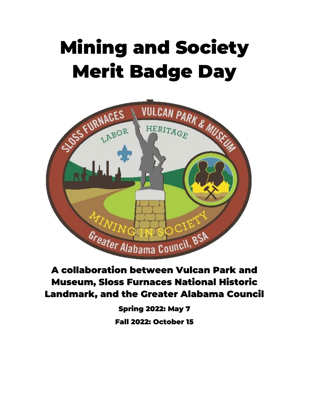# Mining and Society Merit Badge Day



### A collaboration between Vulcan Park and Museum, Sloss Furnaces National Historic Landmark, and the Greater Alabama Council

Spring 2022: May 7 Fall 2022: October 15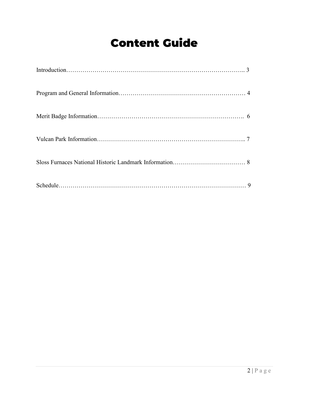### Content Guide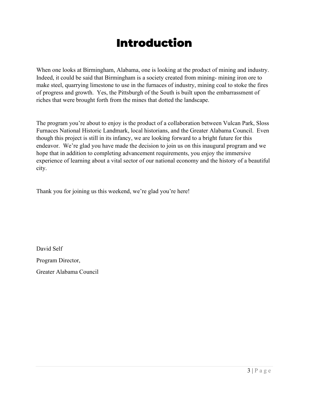### Introduction

When one looks at Birmingham, Alabama, one is looking at the product of mining and industry. Indeed, it could be said that Birmingham is a society created from mining- mining iron ore to make steel, quarrying limestone to use in the furnaces of industry, mining coal to stoke the fires of progress and growth. Yes, the Pittsburgh of the South is built upon the embarrassment of riches that were brought forth from the mines that dotted the landscape.

The program you're about to enjoy is the product of a collaboration between Vulcan Park, Sloss Furnaces National Historic Landmark, local historians, and the Greater Alabama Council. Even though this project is still in its infancy, we are looking forward to a bright future for this endeavor. We're glad you have made the decision to join us on this inaugural program and we hope that in addition to completing advancement requirements, you enjoy the immersive experience of learning about a vital sector of our national economy and the history of a beautiful city.

Thank you for joining us this weekend, we're glad you're here!

David Self Program Director, Greater Alabama Council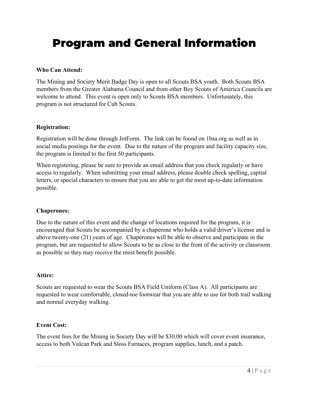### Program and General Information

#### **Who Can Attend:**

The Mining and Society Merit Badge Day is open to all Scouts BSA youth. Both Scouts BSA members from the Greater Alabama Council and from other Boy Scouts of America Councils are welcome to attend. This event is open only to Scouts BSA members. Unfortunately, this program is not structured for Cub Scouts.

#### **Registration:**

Registration will be done through JotForm. The link can be found on 1bsa.org as well as in social media postings for the event. Due to the nature of the program and facility capacity size, the program is limited to the first 50 participants.

When registering, please be sure to provide an email address that you check regularly or have access to regularly. When submitting your email address, please double check spelling, capital letters, or special characters to ensure that you are able to get the most up-to-date information possible.

#### **Chaperones:**

Due to the nature of this event and the change of locations required for the program, it is encouraged that Scouts be accompanied by a chaperone who holds a valid driver's license and is above twenty-one (21) years of age. Chaperones will be able to observe and participate in the program, but are requested to allow Scouts to be as close to the front of the activity or classroom as possible so they may receive the most benefit possible.

#### **Attire:**

Scouts are requested to wear the Scouts BSA Field Uniform (Class A). All participants are requested to wear comfortable, closed-toe footwear that you are able to use for both trail walking and normal everyday walking.

#### **Event Cost:**

The event fees for the Mining in Society Day will be \$30.00 which will cover event insurance, access to both Vulcan Park and Sloss Furnaces, program supplies, lunch, and a patch.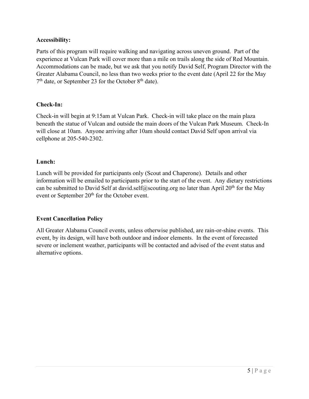#### **Accessibility:**

Parts of this program will require walking and navigating across uneven ground. Part of the experience at Vulcan Park will cover more than a mile on trails along the side of Red Mountain. Accommodations can be made, but we ask that you notify David Self, Program Director with the Greater Alabama Council, no less than two weeks prior to the event date (April 22 for the May  $7<sup>th</sup>$  date, or September 23 for the October  $8<sup>th</sup>$  date).

#### **Check-In:**

Check-in will begin at 9:15am at Vulcan Park. Check-in will take place on the main plaza beneath the statue of Vulcan and outside the main doors of the Vulcan Park Museum. Check-In will close at 10am. Anyone arriving after 10am should contact David Self upon arrival via cellphone at 205-540-2302.

#### **Lunch:**

Lunch will be provided for participants only (Scout and Chaperone). Details and other information will be emailed to participants prior to the start of the event. Any dietary restrictions can be submitted to David Self at david.self@scouting.org no later than April  $20<sup>th</sup>$  for the May event or September 20<sup>th</sup> for the October event.

#### **Event Cancellation Policy**

All Greater Alabama Council events, unless otherwise published, are rain-or-shine events. This event, by its design, will have both outdoor and indoor elements. In the event of forecasted severe or inclement weather, participants will be contacted and advised of the event status and alternative options.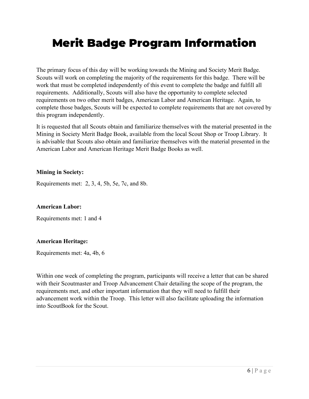### Merit Badge Program Information

The primary focus of this day will be working towards the Mining and Society Merit Badge. Scouts will work on completing the majority of the requirements for this badge. There will be work that must be completed independently of this event to complete the badge and fulfill all requirements. Additionally, Scouts will also have the opportunity to complete selected requirements on two other merit badges, American Labor and American Heritage. Again, to complete those badges, Scouts will be expected to complete requirements that are not covered by this program independently.

It is requested that all Scouts obtain and familiarize themselves with the material presented in the Mining in Society Merit Badge Book, available from the local Scout Shop or Troop Library. It is advisable that Scouts also obtain and familiarize themselves with the material presented in the American Labor and American Heritage Merit Badge Books as well.

#### **Mining in Society:**

Requirements met: 2, 3, 4, 5b, 5e, 7c, and 8b.

#### **American Labor:**

Requirements met: 1 and 4

#### **American Heritage:**

Requirements met: 4a, 4b, 6

Within one week of completing the program, participants will receive a letter that can be shared with their Scoutmaster and Troop Advancement Chair detailing the scope of the program, the requirements met, and other important information that they will need to fulfill their advancement work within the Troop. This letter will also facilitate uploading the information into ScoutBook for the Scout.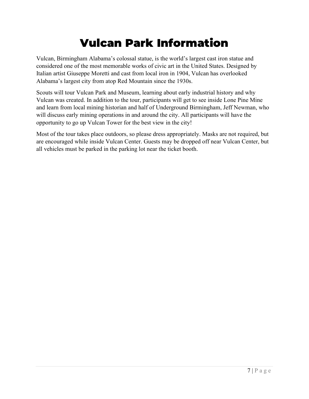## Vulcan Park Information

Vulcan, Birmingham Alabama's colossal statue, is the world's largest cast iron statue and considered one of the most memorable works of civic art in the United States. Designed by Italian artist Giuseppe Moretti and cast from local iron in 1904, Vulcan has overlooked Alabama's largest city from atop Red Mountain since the 1930s.

Scouts will tour Vulcan Park and Museum, learning about early industrial history and why Vulcan was created. In addition to the tour, participants will get to see inside Lone Pine Mine and learn from local mining historian and half of Underground Birmingham, Jeff Newman, who will discuss early mining operations in and around the city. All participants will have the opportunity to go up Vulcan Tower for the best view in the city!

Most of the tour takes place outdoors, so please dress appropriately. Masks are not required, but are encouraged while inside Vulcan Center. Guests may be dropped off near Vulcan Center, but all vehicles must be parked in the parking lot near the ticket booth.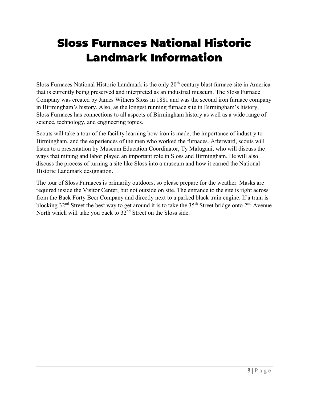## Sloss Furnaces National Historic Landmark Information

Sloss Furnaces National Historic Landmark is the only  $20<sup>th</sup>$  century blast furnace site in America that is currently being preserved and interpreted as an industrial museum. The Sloss Furnace Company was created by James Withers Sloss in 1881 and was the second iron furnace company in Birmingham's history. Also, as the longest running furnace site in Birmingham's history, Sloss Furnaces has connections to all aspects of Birmingham history as well as a wide range of science, technology, and engineering topics.

Scouts will take a tour of the facility learning how iron is made, the importance of industry to Birmingham, and the experiences of the men who worked the furnaces. Afterward, scouts will listen to a presentation by Museum Education Coordinator, Ty Malugani, who will discuss the ways that mining and labor played an important role in Sloss and Birmingham. He will also discuss the process of turning a site like Sloss into a museum and how it earned the National Historic Landmark designation.

The tour of Sloss Furnaces is primarily outdoors, so please prepare for the weather. Masks are required inside the Visitor Center, but not outside on site. The entrance to the site is right across from the Back Forty Beer Company and directly next to a parked black train engine. If a train is blocking  $32<sup>nd</sup>$  Street the best way to get around it is to take the  $35<sup>th</sup>$  Street bridge onto  $2<sup>nd</sup>$  Avenue North which will take you back to 32nd Street on the Sloss side.